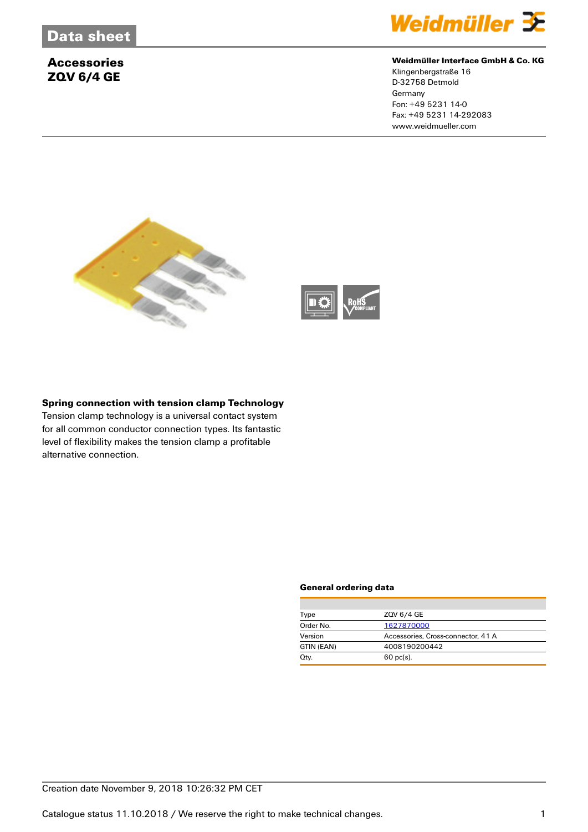# **Accessories ZQV 6/4 GE**



## **Weidmüller Interface GmbH & Co. KG**

Klingenbergstraße 16 D-32758 Detmold **Germany** Fon: +49 5231 14-0 Fax: +49 5231 14-292083 www.weidmueller.com





## **Spring connection with tension clamp Technology**

Tension clamp technology is a universal contact system for all common conductor connection types. Its fantastic level of flexibility makes the tension clamp a profitable alternative connection.

#### **General ordering data**

| Type       | ZQV 6/4 GE                         |  |
|------------|------------------------------------|--|
| Order No.  | 1627870000                         |  |
| Version    | Accessories, Cross-connector, 41 A |  |
| GTIN (EAN) | 4008190200442                      |  |
| Qty.       | $60$ pc(s).                        |  |